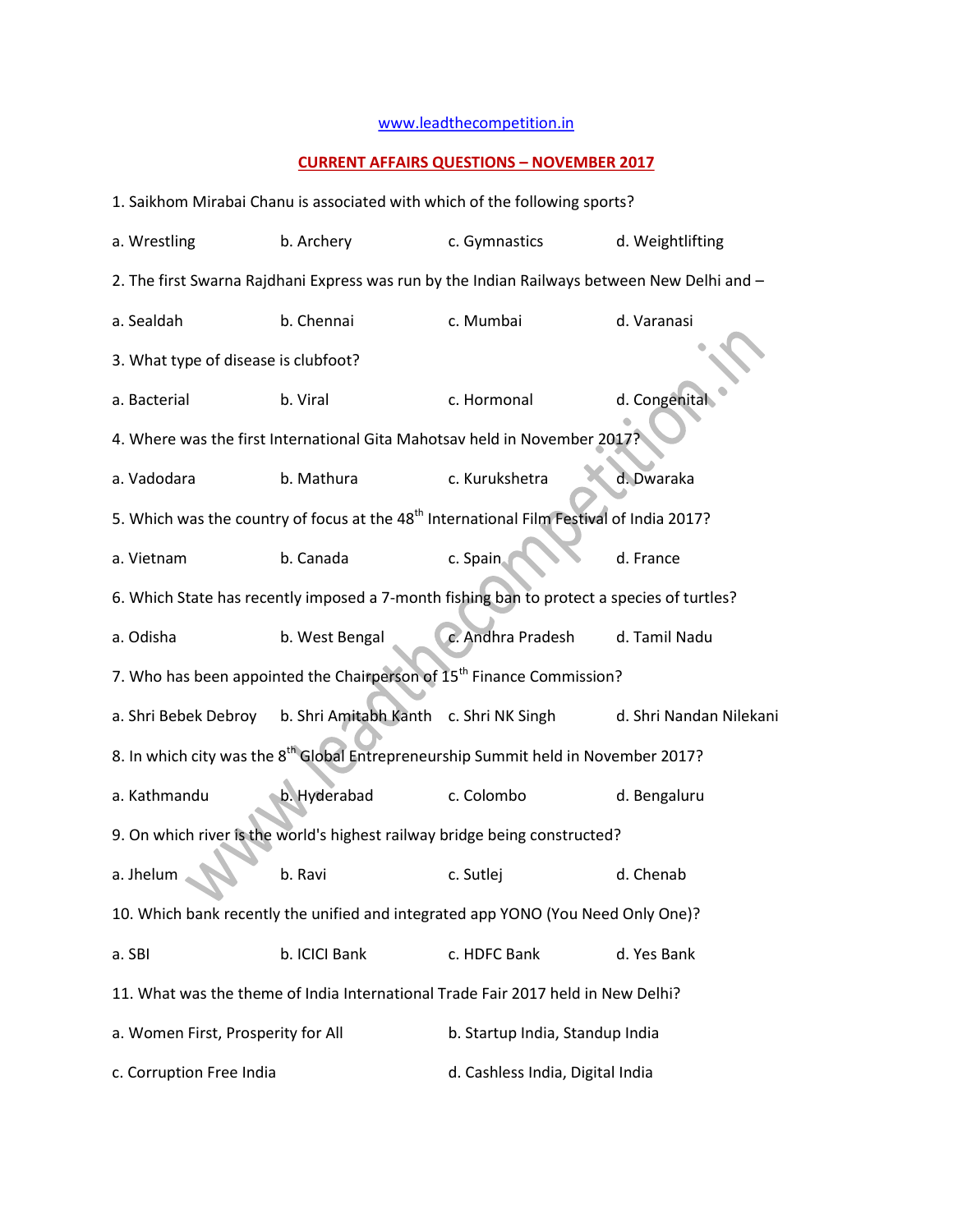## [www.leadthecompetition.in](http://www.leadthecompetition.in/)

## **CURRENT AFFAIRS QUESTIONS – NOVEMBER 2017**

1. Saikhom Mirabai Chanu is associated with which of the following sports? a. Wrestling b. Archery c. Gymnastics d. Weightlifting 2. The first Swarna Rajdhani Express was run by the Indian Railways between New Delhi and – a. Sealdah b. Chennai c. Mumbai d. Varanasi 3. What type of disease is clubfoot? a. Bacterial b. Viral c. Hormonal d. Congenital 4. Where was the first International Gita Mahotsav held in November 2017? a. Vadodara b. Mathura c. Kurukshetra d. Dwaraka 5. Which was the country of focus at the 48<sup>th</sup> International Film Festival of India 2017? a. Vietnam b. Canada c. Spain d. France 6. Which State has recently imposed a 7-month fishing ban to protect a species of turtles? a. Odisha b. West Bengal c. Andhra Pradesh d. Tamil Nadu 7. Who has been appointed the Chairperson of  $15<sup>th</sup>$  Finance Commission? a. Shri Bebek Debroy b. Shri Amitabh Kanth c. Shri NK Singh d. Shri Nandan Nilekani 8. In which city was the 8<sup>th</sup> Global Entrepreneurship Summit held in November 2017? a. Kathmandu b. Hyderabad c. Colombo d. Bengaluru 9. On which river is the world's highest railway bridge being constructed? a. Jhelum **b. Ravi** c. Sutlej d. Chenab 10. Which bank recently the unified and integrated app YONO (You Need Only One)? a. SBI b. ICICI Bank c. HDFC Bank d. Yes Bank 11. What was the theme of India International Trade Fair 2017 held in New Delhi? a. Women First, Prosperity for All b. Startup India, Standup India c. Corruption Free India d. Cashless India, Digital India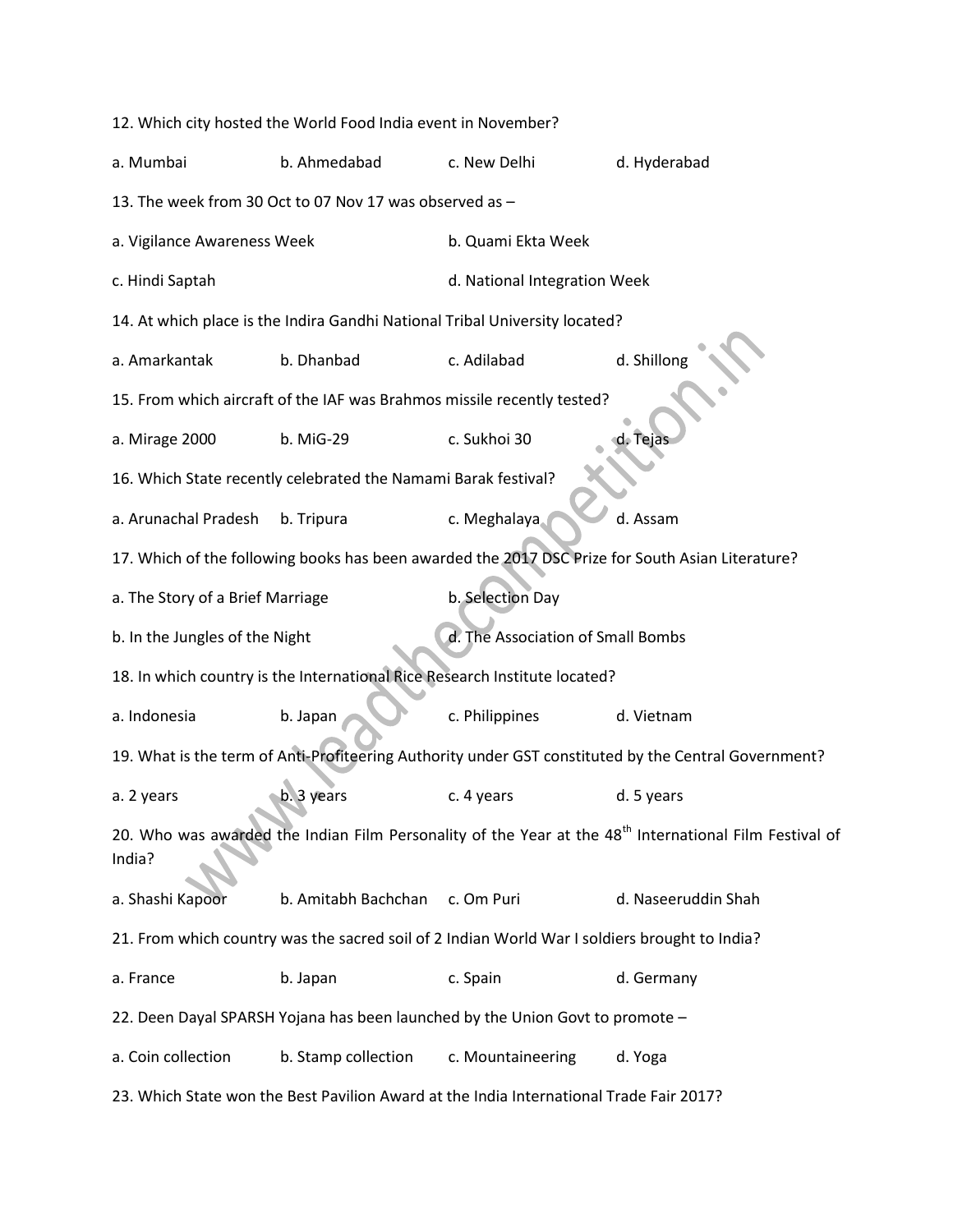12. Which city hosted the World Food India event in November? a. Mumbai b. Ahmedabad c. New Delhi d. Hyderabad 13. The week from 30 Oct to 07 Nov 17 was observed as – a. Vigilance Awareness Week b. Quami Ekta Week c. Hindi Saptah d. National Integration Week 14. At which place is the Indira Gandhi National Tribal University located? a. Amarkantak b. Dhanbad c. Adilabad d. Shillong 15. From which aircraft of the IAF was Brahmos missile recently tested? a. Mirage 2000 b. MiG-29 c. Sukhoi 30 16. Which State recently celebrated the Namami Barak festival? a. Arunachal Pradesh b. Tripura c. Meghalaya d. Assam 17. Which of the following books has been awarded the 2017 DSC Prize for South Asian Literature? a. The Story of a Brief Marriage b. Selection Day b. In the Jungles of the Night d. The Association of Small Bombs 18. In which country is the International Rice Research Institute located? a. Indonesia b. Japan c. Philippines d. Vietnam 19. What is the term of Anti-Profiteering Authority under GST constituted by the Central Government? a. 2 years b. 3 years c. 4 years d. 5 years 20. Who was awarded the Indian Film Personality of the Year at the 48<sup>th</sup> International Film Festival of India? a. Shashi Kapoor b. Amitabh Bachchan c. Om Puri d. Naseeruddin Shah 21. From which country was the sacred soil of 2 Indian World War I soldiers brought to India? a. France b. Japan c. Spain d. Germany 22. Deen Dayal SPARSH Yojana has been launched by the Union Govt to promote – a. Coin collection b. Stamp collection c. Mountaineering d. Yoga 23. Which State won the Best Pavilion Award at the India International Trade Fair 2017?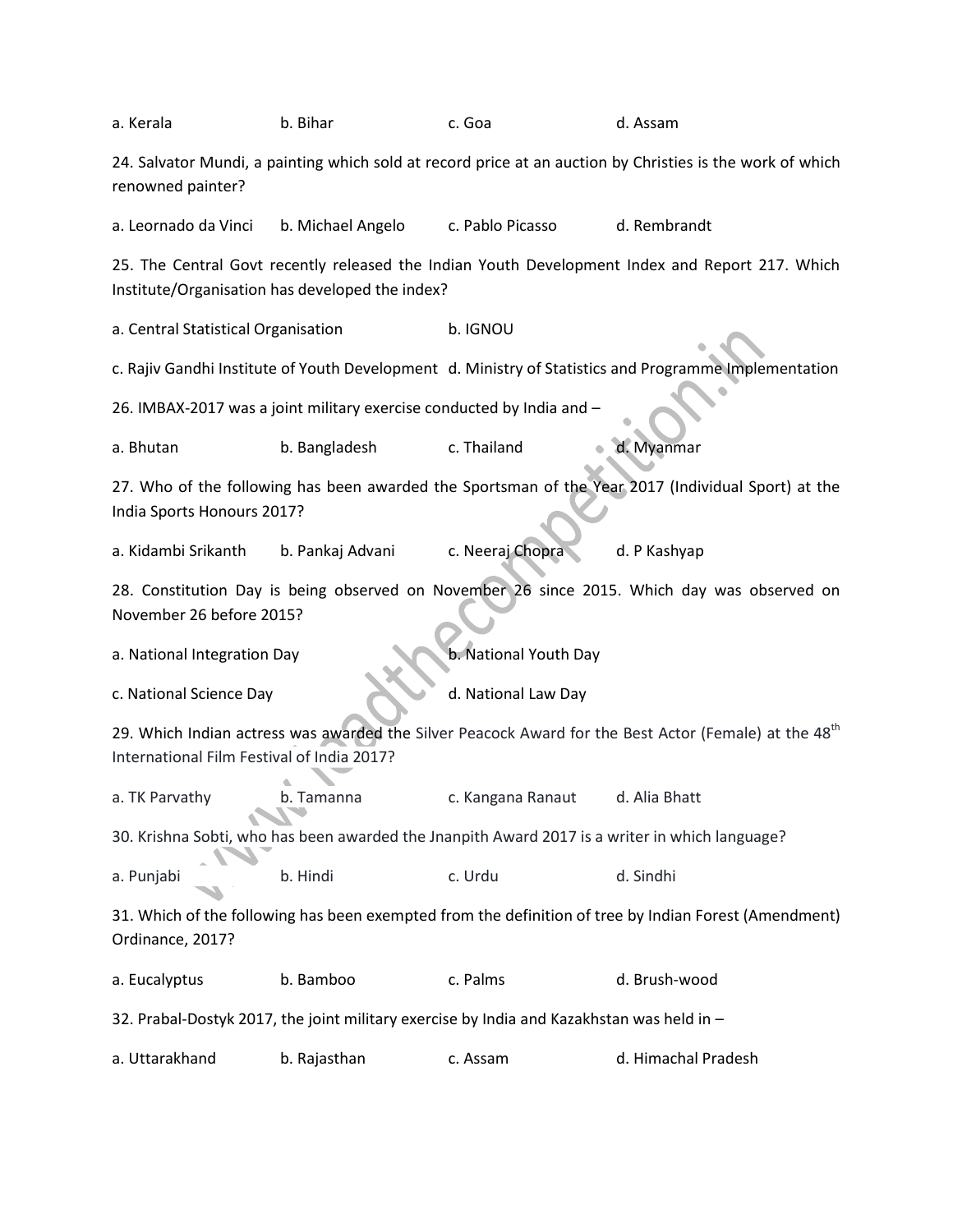| a. Kerala                                                                                                                      | b. Bihar                                                                                                                                                        | c. Goa              | d. Assam            |  |  |  |  |  |
|--------------------------------------------------------------------------------------------------------------------------------|-----------------------------------------------------------------------------------------------------------------------------------------------------------------|---------------------|---------------------|--|--|--|--|--|
| 24. Salvator Mundi, a painting which sold at record price at an auction by Christies is the work of which<br>renowned painter? |                                                                                                                                                                 |                     |                     |  |  |  |  |  |
| a. Leornado da Vinci                                                                                                           | b. Michael Angelo                                                                                                                                               | c. Pablo Picasso    | d. Rembrandt        |  |  |  |  |  |
|                                                                                                                                | 25. The Central Govt recently released the Indian Youth Development Index and Report 217. Which<br>Institute/Organisation has developed the index?              |                     |                     |  |  |  |  |  |
| a. Central Statistical Organisation                                                                                            | b. IGNOU                                                                                                                                                        |                     |                     |  |  |  |  |  |
|                                                                                                                                | c. Rajiv Gandhi Institute of Youth Development d. Ministry of Statistics and Programme Implementation                                                           |                     |                     |  |  |  |  |  |
|                                                                                                                                | 26. IMBAX-2017 was a joint military exercise conducted by India and -                                                                                           |                     |                     |  |  |  |  |  |
| a. Bhutan                                                                                                                      | b. Bangladesh                                                                                                                                                   | c. Thailand         | d. Myanmar          |  |  |  |  |  |
|                                                                                                                                | 27. Who of the following has been awarded the Sportsman of the Year 2017 (Individual Sport) at the<br>India Sports Honours 2017?                                |                     |                     |  |  |  |  |  |
| a. Kidambi Srikanth                                                                                                            | b. Pankaj Advani                                                                                                                                                | c. Neeraj Chopra    | d. P Kashyap        |  |  |  |  |  |
|                                                                                                                                | 28. Constitution Day is being observed on November 26 since 2015. Which day was observed on<br>November 26 before 2015?                                         |                     |                     |  |  |  |  |  |
|                                                                                                                                | b. National Youth Day<br>a. National Integration Day                                                                                                            |                     |                     |  |  |  |  |  |
| c. National Science Day                                                                                                        |                                                                                                                                                                 | d. National Law Day |                     |  |  |  |  |  |
|                                                                                                                                | 29. Which Indian actress was awarded the Silver Peacock Award for the Best Actor (Female) at the 48 <sup>th</sup><br>International Film Festival of India 2017? |                     |                     |  |  |  |  |  |
| a. TK Parvathy                                                                                                                 | b. Tamanna                                                                                                                                                      | c. Kangana Ranaut   | d. Alia Bhatt       |  |  |  |  |  |
|                                                                                                                                | 30. Krishna Sobti, who has been awarded the Jnanpith Award 2017 is a writer in which language?                                                                  |                     |                     |  |  |  |  |  |
| a. Punjabi                                                                                                                     | b. Hindi                                                                                                                                                        | c. Urdu             | d. Sindhi           |  |  |  |  |  |
| Ordinance, 2017?                                                                                                               | 31. Which of the following has been exempted from the definition of tree by Indian Forest (Amendment)                                                           |                     |                     |  |  |  |  |  |
| a. Eucalyptus                                                                                                                  | b. Bamboo                                                                                                                                                       | c. Palms            | d. Brush-wood       |  |  |  |  |  |
|                                                                                                                                | 32. Prabal-Dostyk 2017, the joint military exercise by India and Kazakhstan was held in -                                                                       |                     |                     |  |  |  |  |  |
| a. Uttarakhand                                                                                                                 | b. Rajasthan                                                                                                                                                    | c. Assam            | d. Himachal Pradesh |  |  |  |  |  |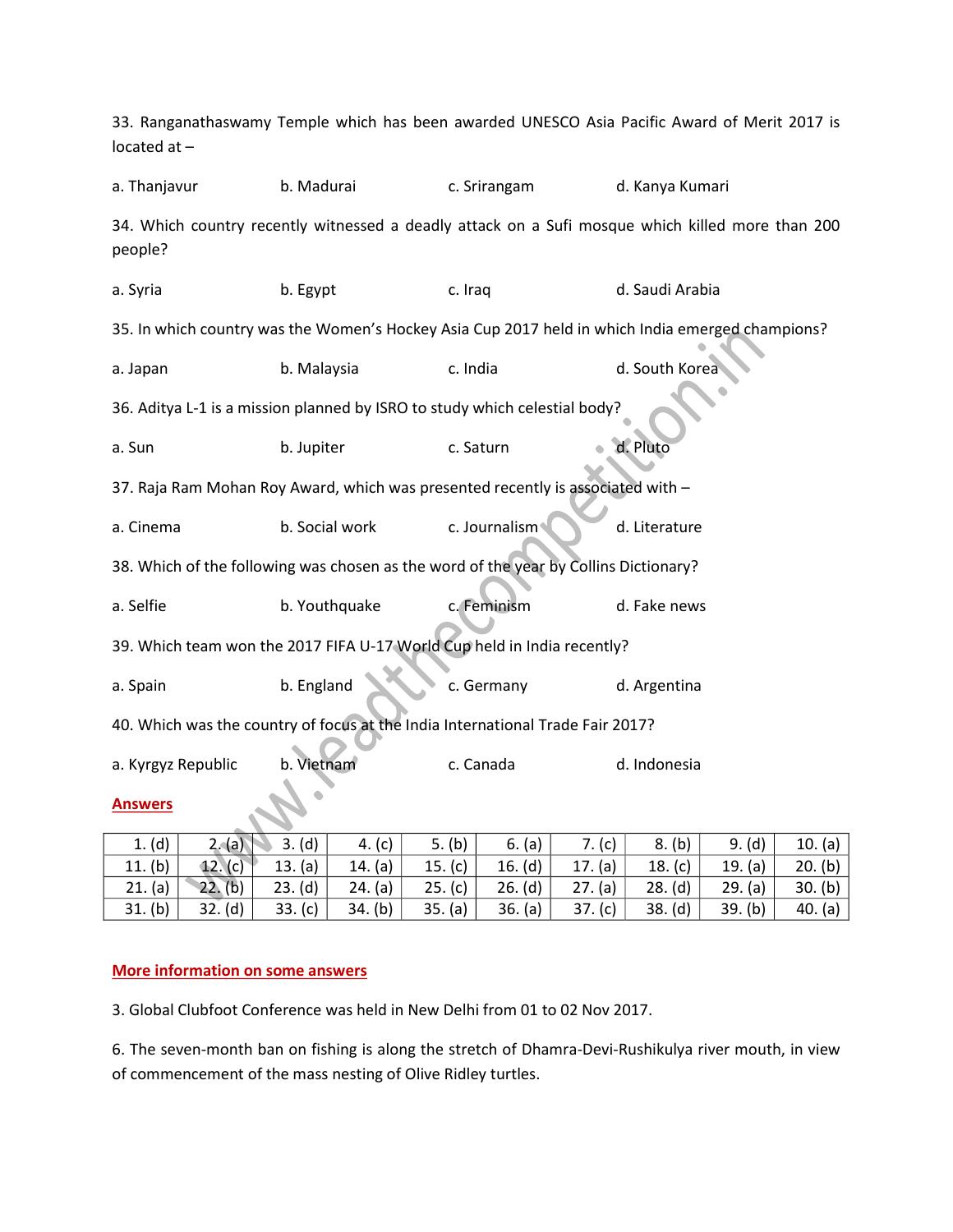| 33. Ranganathaswamy Temple which has been awarded UNESCO Asia Pacific Award of Merit 2017 is<br>located $at -$ |                |               |                 |  |  |  |  |  |
|----------------------------------------------------------------------------------------------------------------|----------------|---------------|-----------------|--|--|--|--|--|
| a. Thanjavur                                                                                                   | b. Madurai     | c. Srirangam  | d. Kanya Kumari |  |  |  |  |  |
| 34. Which country recently witnessed a deadly attack on a Sufi mosque which killed more than 200<br>people?    |                |               |                 |  |  |  |  |  |
| a. Syria                                                                                                       | b. Egypt       | c. Iraq       | d. Saudi Arabia |  |  |  |  |  |
| 35. In which country was the Women's Hockey Asia Cup 2017 held in which India emerged champions?               |                |               |                 |  |  |  |  |  |
| a. Japan                                                                                                       | b. Malaysia    | c. India      | d. South Korea  |  |  |  |  |  |
| 36. Aditya L-1 is a mission planned by ISRO to study which celestial body?                                     |                |               |                 |  |  |  |  |  |
| a. Sun                                                                                                         | b. Jupiter     | c. Saturn     | d. Pluto        |  |  |  |  |  |
| 37. Raja Ram Mohan Roy Award, which was presented recently is associated with -                                |                |               |                 |  |  |  |  |  |
| a. Cinema                                                                                                      | b. Social work | c. Journalism | d. Literature   |  |  |  |  |  |
| 38. Which of the following was chosen as the word of the year by Collins Dictionary?                           |                |               |                 |  |  |  |  |  |
| a. Selfie                                                                                                      | b. Youthquake  | c. Feminism   | d. Fake news    |  |  |  |  |  |
| 39. Which team won the 2017 FIFA U-17 World Cup held in India recently?                                        |                |               |                 |  |  |  |  |  |
| a. Spain                                                                                                       | b. England     | c. Germany    | d. Argentina    |  |  |  |  |  |
| 40. Which was the country of focus at the India International Trade Fair 2017?                                 |                |               |                 |  |  |  |  |  |
| a. Kyrgyz Republic                                                                                             | b. Vietnam     | c. Canada     | d. Indonesia    |  |  |  |  |  |
| <b>Answers</b>                                                                                                 |                |               |                 |  |  |  |  |  |

| 1. (d)     | 2. (a)     | (d)<br>3.  | 4. $(c)$   | (b)<br>5.  | 6. (a)     | (c)       | (b)<br>8. | (d)<br>9. | (a)<br>10. |
|------------|------------|------------|------------|------------|------------|-----------|-----------|-----------|------------|
| (b)<br>11. | 12. (c)    | (a)<br>13. | (a)<br>14. | 15. $(c)$  | (d)<br>16. | (a)<br>17 | 18. (c)   | 19. (a)   | (b)<br>20. |
| (a)<br>21. | 22.<br>(b) | (d)<br>23. | 24. (a)    | (c)<br>25. | 26. (d)    | 27. (a)   | 28. (d)   | 29. (a)   | (b)<br>30. |
| 31. (b)    | 32. (d)    | (c)<br>33. | (b)<br>34. | (a)<br>35. | (a)<br>36. | 37. (c)   | 38. (d)   | 39. (b)   | 40. (a)    |

## **More information on some answers**

3. Global Clubfoot Conference was held in New Delhi from 01 to 02 Nov 2017.

6. The seven-month ban on fishing is along the stretch of Dhamra-Devi-Rushikulya river mouth, in view of commencement of the mass nesting of Olive Ridley turtles.